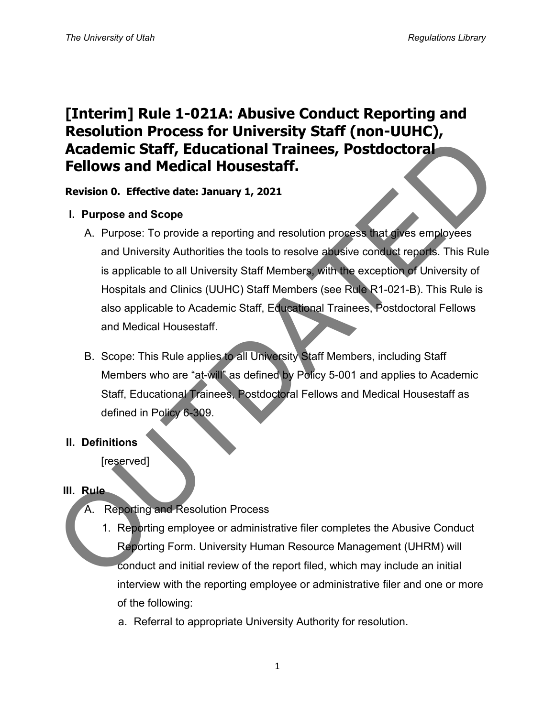# **[Interim] Rule 1-021A: Abusive Conduct Reporting and Resolution Process for University Staff (non-UUHC), Academic Staff, Educational Trainees, Postdoctoral Fellows and Medical Housestaff.**

### **Revision 0. Effective date: January 1, 2021**

### **I. Purpose and Scope**

- A. Purpose: To provide a reporting and resolution process that gives employees and University Authorities the tools to resolve abusive conduct reports. This Rule is applicable to all University Staff Members, with the exception of University of Hospitals and Clinics (UUHC) Staff Members (see Rule R1-021-B). This Rule is also applicable to Academic Staff, Educational Trainees, Postdoctoral Fellows and Medical Housestaff. **Academic Staff, Educational Trainees, Postdoctoral**<br> **Academic Staff, Educational Trainees, Postdoctoral**<br> **Fellows and Medical Housestaff.**<br>
Revision 0. Effective date: January 1, 2021<br>
1. Purpose and University Staff Me
	- B. Scope: This Rule applies to all University Staff Members, including Staff Members who are "at-will" as defined by Policy 5-001 and applies to Academic Staff, Educational Trainees, Postdoctoral Fellows and Medical Housestaff as defined in Policy 6-309.

### **II. Definitions**

[reserved]

### **III. Rule**

- A. Reporting and Resolution Process
	- 1. Reporting employee or administrative filer completes the Abusive Conduct Reporting Form. University Human Resource Management (UHRM) will conduct and initial review of the report filed, which may include an initial interview with the reporting employee or administrative filer and one or more of the following:
		- a. Referral to appropriate University Authority for resolution.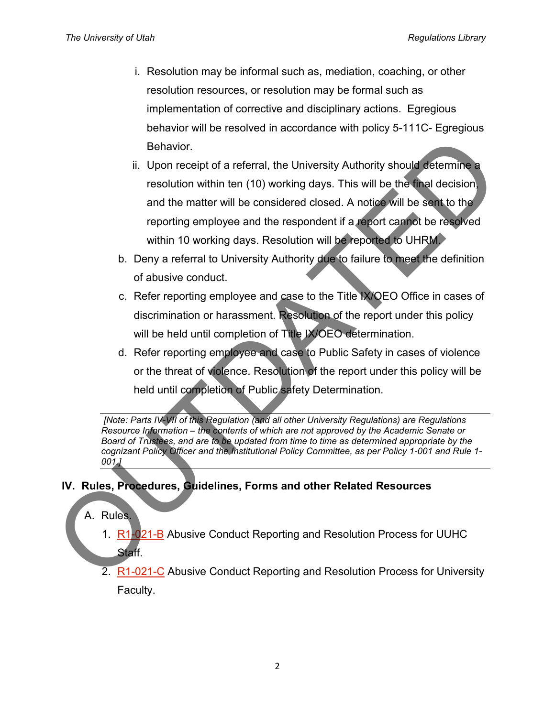- i. Resolution may be informal such as, mediation, coaching, or other resolution resources, or resolution may be formal such as implementation of corrective and disciplinary actions. Egregious behavior will be resolved in accordance with policy 5-111C- Egregious Behavior.
- ii. Upon receipt of a referral, the University Authority should determine a resolution within ten (10) working days. This will be the final decision, and the matter will be considered closed. A notice will be sent to the reporting employee and the respondent if a report cannot be resolved within 10 working days. Resolution will be reported to UHRM. Behavior.<br>
ii. Upon receipt of a referral, the University Authority should determine<br>
resolution within ten (10) working days. This will be the that decision<br>
and the matter will be considered closed. A notice will be sen
	- b. Deny a referral to University Authority due to failure to meet the definition of abusive conduct.
	- c. Refer reporting employee and case to the Title IX/OEO Office in cases of discrimination or harassment. Resolution of the report under this policy will be held until completion of Title IX/OEO determination.
	- d. Refer reporting employee and case to Public Safety in cases of violence or the threat of violence. Resolution of the report under this policy will be held until completion of Public safety Determination.

*[Note: Parts IV-VII of this Regulation (and all other University Regulations) are Regulations Resource Information – the contents of which are not approved by the Academic Senate or Board of Trustees, and are to be updated from time to time as determined appropriate by the cognizant Policy Officer and the Institutional Policy Committee, as per Policy 1-001 and Rule 1- 001.]*

# **IV. Rules, Procedures, Guidelines, Forms and other Related Resources**

# A. Rules.

- 1. R1-021-B Abusive Conduct Reporting and Resolution Process for UUHC Staff.
- 2. R1-021-C Abusive Conduct Reporting and Resolution Process for University Faculty.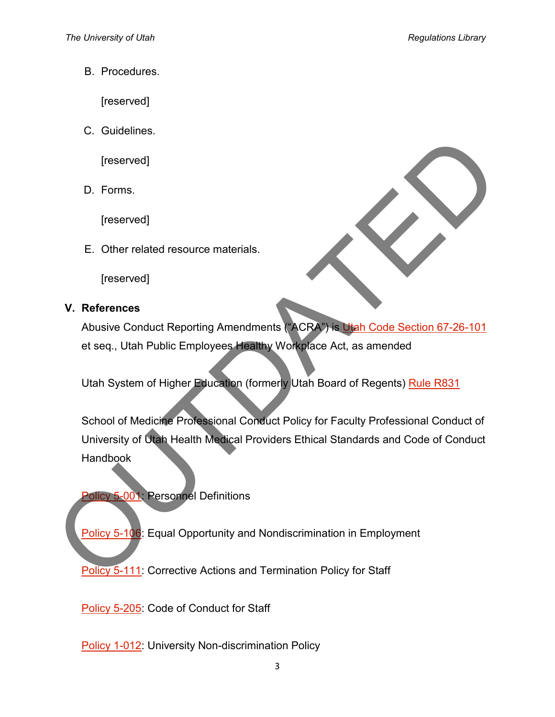B. Procedures.

[reserved]

C. Guidelines.

[reserved]

D. Forms.

[reserved]

E. Other related resource materials.

[reserved]

### **V. References**

Abusive Conduct Reporting Amendments ("ACRA") is Utah Code Section 67-26-101 et seq., Utah Public Employees Healthy Workplace Act, as amended

Utah System of Higher Education (formerly Utah Board of Regents) Rule R831

School of Medicine Professional Conduct Policy for Faculty Professional Conduct of University of Utah Health Medical Providers Ethical Standards and Code of Conduct **Handbook** Treserved]<br>
D. Forms.<br>
[reserved]<br>
E. [O](https://regulations.utah.edu/human-resources/5-106.php)ther related resource materials.<br>
[reserved]<br>
V. References<br>
Abusive Conduct Reporting Amendments (ACRA) is [U](https://regulations.utah.edu/human-resources/5-001.php)sh Cade Section 67-26-101<br>
et seq., Utah Public Employees Healthy Workplac

**Policy 5-001: Personnel Definitions** 

Policy 5-106: Equal Opportunity and Nondiscrimination in Employment

**Policy 5-111:** Corrective Actions and Termination Policy for Staff

[Policy 5-205:](https://regulations.utah.edu/human-resources/5-205.php) Code of Conduct for Staff

[Policy 1-012:](https://regulations.utah.edu/general/1-012.php) University Non-discrimination Policy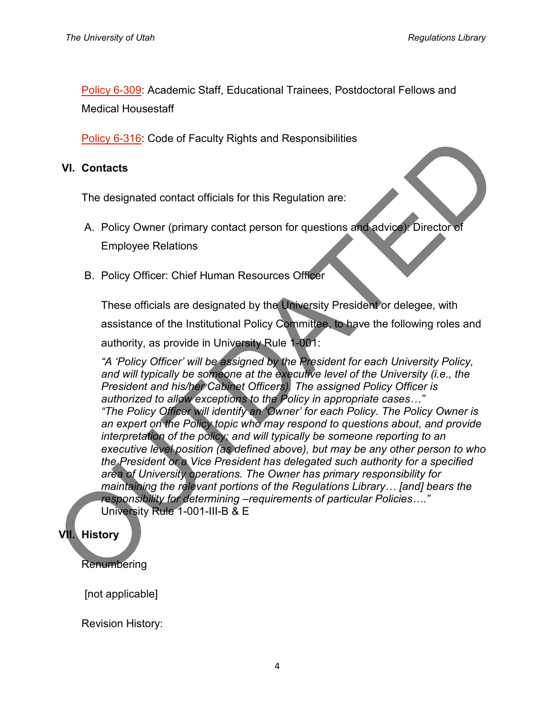[Policy 6-309:](https://regulations.utah.edu/academics/6-309.php) Academic Staff, Educational Trainees, Postdoctoral Fellows and Medical Housestaff

**Policy 6-316: Code of Faculty Rights and Responsibilities** 

#### **VI. Contacts**

The designated contact officials for this Regulation are:

- A. Policy Owner (primary contact person for questions and advice): Director of Employee Relations
- B. Policy Officer: Chief Human Resources Officer

These officials are designated by the University President or delegee, with assistance of the Institutional Policy Committee, to have the following roles and authority, as provide in University Rule 1-001:

*"A 'Policy Officer' will be assigned by the President for each University Policy, and will typically be someone at the executive level of the University (i.e., the President and his/her Cabinet Officers). The assigned Policy Officer is authorized to allow exceptions to the Policy in appropriate cases…" "The Policy Officer will identify an 'Owner' for each Policy. The Policy Owner is an expert on the Policy topic who may respond to questions about, and provide interpretation of the policy; and will typically be someone reporting to an executive level position (as defined above), but may be any other person to who the President or a Vice President has delegated such authority for a specified area of University operations. The Owner has primary responsibility for maintaining the relevant portions of the Regulations Library… [and] bears the responsibility for determining –requirements of particular Policies…."*  University Rule 1-001-III-B & E **Policy 6-316:** Code of Faculty Rights and Responsibilities<br>
The designated contact officials for this Regulation are:<br>
A. Policy Officer: Chief Human Resources Officer<br>
Employee Relations<br>
B. Policy Officer: Chief Human R

### **VII. History**

**Renumbering** 

[not applicable]

Revision History: